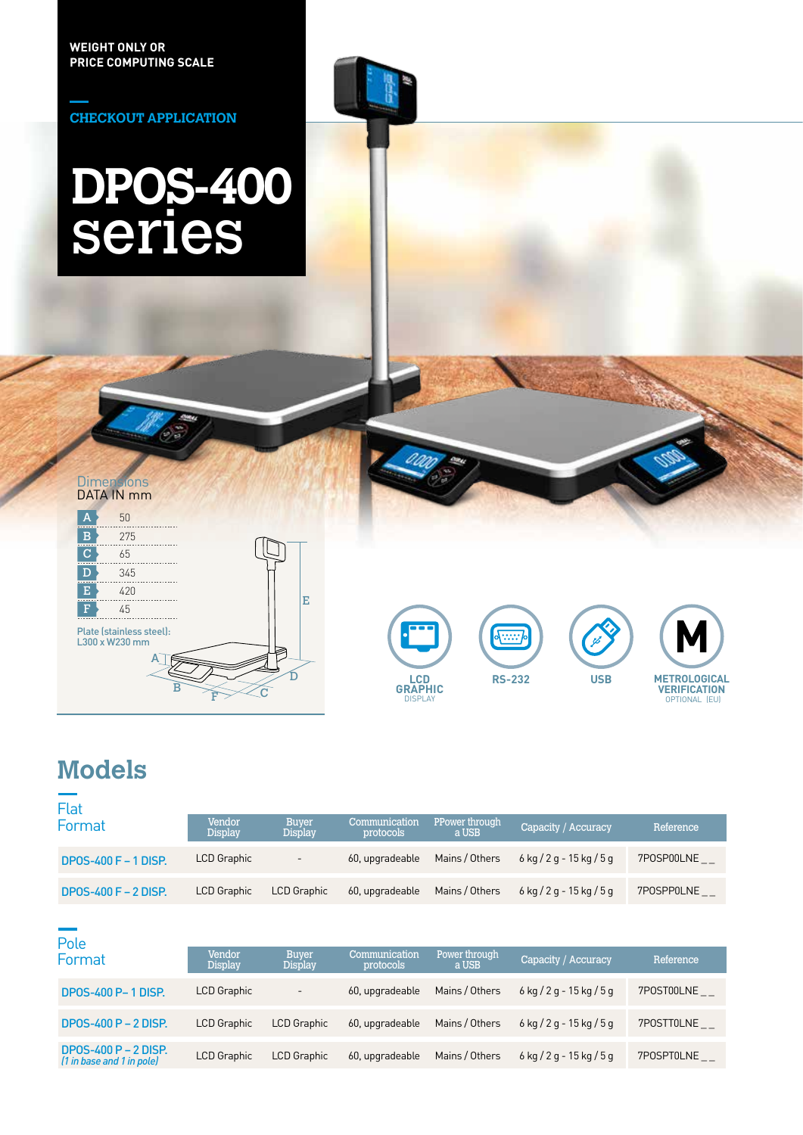**CHECKOUT APPLICATION**

# **DPOS-400** series

#### DATA IN mm **Dimensions**

| Δ              | 50                                         |   |  |   |
|----------------|--------------------------------------------|---|--|---|
| в              | 275                                        |   |  |   |
| $\overline{C}$ | 65                                         |   |  |   |
| D              | 345                                        |   |  |   |
| E              | 420                                        |   |  |   |
| F              | 45                                         |   |  | Е |
|                | Plate (stainless steel):<br>L300 x W230 mm | F |  |   |









## **Models**

| Flat                        |                          |                                |                            |                         |                              |            |
|-----------------------------|--------------------------|--------------------------------|----------------------------|-------------------------|------------------------------|------------|
| Format                      | Vendor<br><b>Display</b> | <b>Buyer</b><br><b>Display</b> | Communication<br>protocols | PPower through<br>a USB | Capacity / Accuracy          | Reference  |
| <b>DPOS-400 F - 1 DISP.</b> | LCD Graphic              | $\overline{\phantom{a}}$       | 60, upgradeable            | Mains / Others          | $6$ kg $/2$ g - 15 kg $/5$ g | 7POSP00LNE |
| DPOS-400 $F - 2$ DISP.      | LCD Graphic              | <b>LCD Graphic</b>             | 60, upgradeable            | Mains / Others          | $6$ kg $/2$ g - 15 kg $/5$ g | 7POSPP0LNE |

| Pole                                              |                          |                                |                            |                         |                              |            |
|---------------------------------------------------|--------------------------|--------------------------------|----------------------------|-------------------------|------------------------------|------------|
| Format                                            | Vendor<br><b>Display</b> | <b>Buver</b><br><b>Display</b> | Communication<br>protocols | Power through,<br>a USB | Capacity / Accuracy          | Reference  |
| <b>DPOS-400 P-1 DISP.</b>                         | LCD Graphic              | $\overline{\phantom{a}}$       | 60, upgradeable            | Mains / Others          | $6$ kg $/2$ g - 15 kg $/5$ g | 7POST00LNE |
| DPOS-400 $P - 2$ DISP.                            | <b>LCD Graphic</b>       | <b>LCD Graphic</b>             | 60, upgradeable            | Mains / Others          | $6$ kg $/2$ g - 15 kg $/5$ g | 7POSTT0LNE |
| DP0S-400 P - 2 DISP.<br>(1 in base and 1 in pole) | <b>LCD Graphic</b>       | <b>LCD Graphic</b>             | 60, upgradeable            | Mains / Others          | $6$ kg $/2$ g - 15 kg $/5$ g | 7POSPT0LNE |